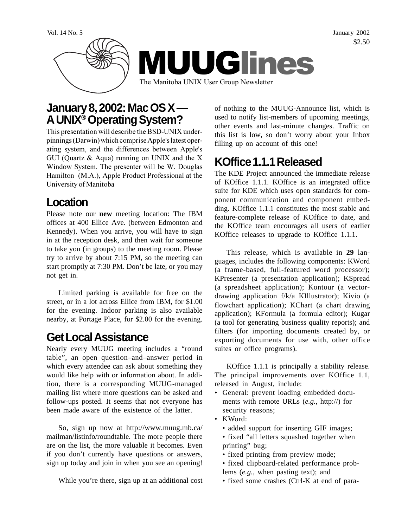Vol. 14 No. 5 January 2002 \$2.50



# **January 8, 2002: Mac OS X — A UNIX® Operating System?**

This presentation will describe the BSD-UNIX underpinnings (Darwin) which comprise Apple's latest operating system, and the differences between Apple's GUI (Quartz & Aqua) running on UNIX and the X Window System. The presenter will be W. Douglas Hamilton (M.A.), Apple Product Professional at the University of Manitoba

## **Location**

Please note our **new** meeting location: The IBM offices at 400 Ellice Ave. (between Edmonton and Kennedy). When you arrive, you will have to sign in at the reception desk, and then wait for someone to take you (in groups) to the meeting room. Please try to arrive by about 7:15 PM, so the meeting can start promptly at 7:30 PM. Don't be late, or you may not get in.

Limited parking is available for free on the street, or in a lot across Ellice from IBM, for \$1.00 for the evening. Indoor parking is also available nearby, at Portage Place, for \$2.00 for the evening.

# **Get Local Assistance**

Nearly every MUUG meeting includes a "round table", an open question–and–answer period in which every attendee can ask about something they would like help with or information about. In addition, there is a corresponding MUUG-managed mailing list where more questions can be asked and follow-ups posted. It seems that not everyone has been made aware of the existence of the latter.

So, sign up now at http://www.muug.mb.ca/ mailman/listinfo/roundtable. The more people there are on the list, the more valuable it becomes. Even if you don't currently have questions or answers, sign up today and join in when you see an opening!

While you're there, sign up at an additional cost

of nothing to the MUUG-Announce list, which is used to notify list-members of upcoming meetings, other events and last-minute changes. Traffic on this list is low, so don't worry about your Inbox filling up on account of this one!

# **KOffice 1.1.1 Released**

The KDE Project announced the immediate release of KOffice 1.1.1. KOffice is an integrated office suite for KDE which uses open standards for component communication and component embedding. KOffice 1.1.1 constitutes the most stable and feature-complete release of KOffice to date, and the KOffice team encourages all users of earlier KOffice releases to upgrade to KOffice 1.1.1.

This release, which is available in **29** languages, includes the following components: KWord (a frame-based, full-featured word processor); KPresenter (a presentation application); KSpread (a spreadsheet application); Kontour (a vectordrawing application f/k/a KIllustrator); Kivio (a flowchart application); KChart (a chart drawing application); KFormula (a formula editor); Kugar (a tool for generating business quality reports); and filters (for importing documents created by, or exporting documents for use with, other office suites or office programs).

KOffice 1.1.1 is principally a stability release. The principal improvements over KOffice 1.1, released in August, include:

- General: prevent loading embedded documents with remote URLs (*e.g.*, http://) for security reasons;
- KWord:
	- added support for inserting GIF images;
	- fixed "all letters squashed together when printing" bug;
	- fixed printing from preview mode;
	- fixed clipboard-related performance problems (*e.g.*, when pasting text); and
	- fixed some crashes (Ctrl-K at end of para-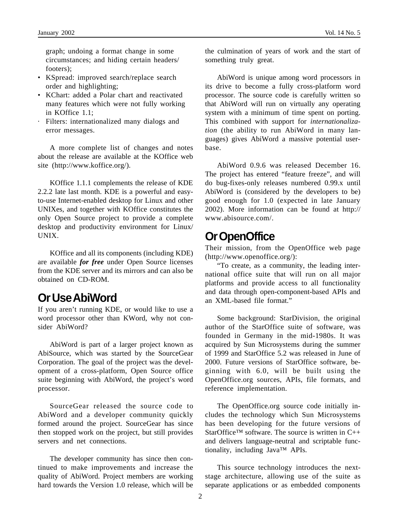graph; undoing a format change in some circumstances; and hiding certain headers/ footers);

- KSpread: improved search/replace search order and highlighting;
- KChart: added a Polar chart and reactivated many features which were not fully working in KOffice 1.1;
- · Filters: internationalized many dialogs and error messages.

A more complete list of changes and notes about the release are available at the KOffice web site (http://www.koffice.org/).

KOffice 1.1.1 complements the release of KDE 2.2.2 late last month. KDE is a powerful and easyto-use Internet-enabled desktop for Linux and other UNIXes, and together with KOffice constitutes the only Open Source project to provide a complete desktop and productivity environment for Linux/ UNIX.

KOffice and all its components (including KDE) are available *for free* under Open Source licenses from the KDE server and its mirrors and can also be obtained on CD-ROM.

## **Or Use AbiWord**

If you aren't running KDE, or would like to use a word processor other than KWord, why not consider AbiWord?

AbiWord is part of a larger project known as AbiSource, which was started by the SourceGear Corporation. The goal of the project was the development of a cross-platform, Open Source office suite beginning with AbiWord, the project's word processor.

SourceGear released the source code to AbiWord and a developer community quickly formed around the project. SourceGear has since then stopped work on the project, but still provides servers and net connections.

The developer community has since then continued to make improvements and increase the quality of AbiWord. Project members are working hard towards the Version 1.0 release, which will be the culmination of years of work and the start of something truly great.

AbiWord is unique among word processors in its drive to become a fully cross-platform word processor. The source code is carefully written so that AbiWord will run on virtually any operating system with a minimum of time spent on porting. This combined with support for *internationalization* (the ability to run AbiWord in many languages) gives AbiWord a massive potential userbase.

AbiWord 0.9.6 was released December 16. The project has entered "feature freeze", and will do bug-fixes-only releases numbered 0.99.x until AbiWord is (considered by the developers to be) good enough for 1.0 (expected in late January 2002). More information can be found at http:// www.abisource.com/.

#### **Or OpenOffice**

Their mission, from the OpenOffice web page (http://www.openoffice.org/):

"To create, as a community, the leading international office suite that will run on all major platforms and provide access to all functionality and data through open-component-based APIs and an XML-based file format."

Some background: StarDivision, the original author of the StarOffice suite of software, was founded in Germany in the mid-1980s. It was acquired by Sun Microsystems during the summer of 1999 and StarOffice 5.2 was released in June of 2000. Future versions of StarOffice software, beginning with 6.0, will be built using the OpenOffice.org sources, APIs, file formats, and reference implementation.

The OpenOffice.org source code initially includes the technology which Sun Microsystems has been developing for the future versions of StarOffice<sup>TM</sup> software. The source is written in  $C_{++}$ and delivers language-neutral and scriptable functionality, including Java™ APIs.

This source technology introduces the nextstage architecture, allowing use of the suite as separate applications or as embedded components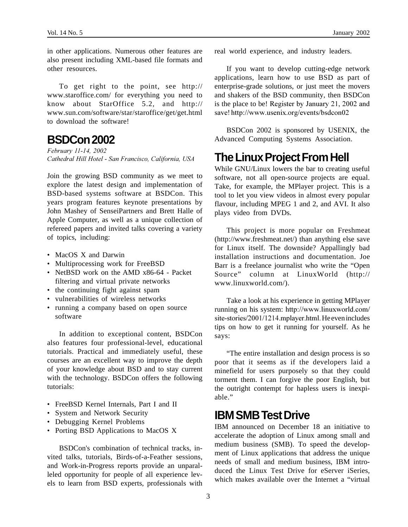in other applications. Numerous other features are also present including XML-based file formats and other resources.

To get right to the point, see http:// www.staroffice.com/ for everything you need to know about StarOffice 5.2, and http:// www.sun.com/software/star/staroffice/get/get.html to download the software!

#### **BSDCon 2002**

*February 11-14, 2002 Cathedral Hill Hotel - San Francisco, California, USA*

Join the growing BSD community as we meet to explore the latest design and implementation of BSD-based systems software at BSDCon. This years program features keynote presentations by John Mashey of SenseiPartners and Brett Halle of Apple Computer, as well as a unique collection of refereed papers and invited talks covering a variety of topics, including:

- MacOS X and Darwin
- Multiprocessing work for FreeBSD
- NetBSD work on the AMD x86-64 Packet filtering and virtual private networks
- the continuing fight against spam
- vulnerabilities of wireless networks
- running a company based on open source software

In addition to exceptional content, BSDCon also features four professional-level, educational tutorials. Practical and immediately useful, these courses are an excellent way to improve the depth of your knowledge about BSD and to stay current with the technology. BSDCon offers the following tutorials:

- FreeBSD Kernel Internals, Part I and II
- System and Network Security
- Debugging Kernel Problems
- Porting BSD Applications to MacOS X

BSDCon's combination of technical tracks, invited talks, tutorials, Birds-of-a-Feather sessions, and Work-in-Progress reports provide an unparalleled opportunity for people of all experience levels to learn from BSD experts, professionals with real world experience, and industry leaders.

If you want to develop cutting-edge network applications, learn how to use BSD as part of enterprise-grade solutions, or just meet the movers and shakers of the BSD community, then BSDCon is the place to be! Register by January 21, 2002 and save! http://www.usenix.org/events/bsdcon02

BSDCon 2002 is sponsored by USENIX, the Advanced Computing Systems Association.

## **The Linux Project From Hell**

While GNU/Linux lowers the bar to creating useful software, not all open-source projects are equal. Take, for example, the MPlayer project. This is a tool to let you view videos in almost every popular flavour, including MPEG 1 and 2, and AVI. It also plays video from DVDs.

This project is more popular on Freshmeat (http://www.freshmeat.net/) than anything else save for Linux itself. The downside? Appallingly bad installation instructions and documentation. Joe Barr is a freelance journalist who write the "Open Source" column at LinuxWorld (http:// www.linuxworld.com/).

Take a look at his experience in getting MPlayer running on his system: http://www.linuxworld.com/ site-stories/2001/1214.mplayer.html. He even includes tips on how to get it running for yourself. As he says:

"The entire installation and design process is so poor that it seems as if the developers laid a minefield for users purposely so that they could torment them. I can forgive the poor English, but the outright contempt for hapless users is inexpiable<sup>"</sup>

## **IBM SMB Test Drive**

IBM announced on December 18 an initiative to accelerate the adoption of Linux among small and medium business (SMB). To speed the development of Linux applications that address the unique needs of small and medium business, IBM introduced the Linux Test Drive for eServer iSeries, which makes available over the Internet a "virtual